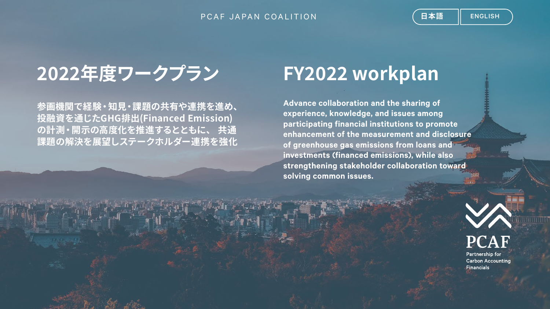### PCAF JAPAN COALITION

# 2022年度ワークプラン FY2022 workplan

**参画機関で経験・知見・課題の共有や連携を進め、 投融資を通じたGHG排出(Financed Emission) の計測・開示の高度化を推進するとともに、 共通 課題の解決を展望しステークホルダー連携を強化**

**Advance collaboration and the sharing of experience, knowledge, and issues among participating financial institutions to promote enhancement of the measurement and disclosure of greenhouse gas emissions from loans and investments (financed emissions), while also strengthening stakeholder collaboration toward solving common issues.**

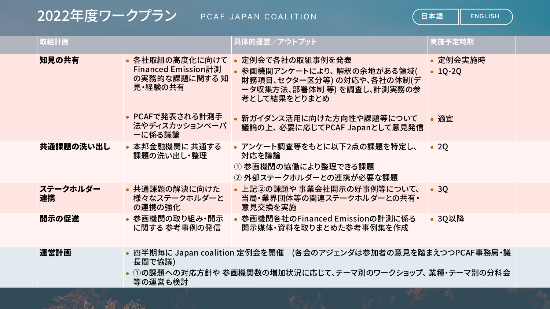## 2022年度ワークフフン PCAF JAPAN COALITION

San Ball St and

**日本語** | ENGLISH

| 取組計画           |                                                                   | 具体的運営/アウトプット                                                                                                              | 実施予定時期                    |
|----------------|-------------------------------------------------------------------|---------------------------------------------------------------------------------------------------------------------------|---------------------------|
| 知見の共有          | • 各社取組の高度化に向けて<br>Financed Emission計測<br>の実務的な課題に関する 知<br>見・経験の共有 | • 定例会で各社の取組事例を発表<br>• 参画機関アンケートにより、解釈の余地がある領域(<br>財務項目、セクター区分等)の対応や、各社の体制(デ<br>ータ収集方法、部署体制 等) を調査し、計測実務の参<br>考として結果をとりまとめ | • 定例会実施時<br>$\cdot$ 1Q-2Q |
|                | • PCAFで発表される計測手<br>法やディスカッションペーパ<br>ーに係る議論                        | • 新ガイダンス活用に向けた方向性や課題等について<br>議論の上、必要に応じてPCAF Japanとして意見発信                                                                 | • 適宜                      |
| 共通課題の洗い出し      | • 本邦金融機関に 共通する<br>課題の洗い出し・整理                                      | • アンケート調査等をもとに以下2点の課題を特定し、<br>対応を議論<br>① 参画機関の協働により整理できる課題<br>② 外部ステークホルダーとの連携が必要な課題                                      | $\bullet$ 2Q              |
| ステークホルダー<br>連携 | • 共通課題の解決に向けた<br>様々なステークホルダーと<br>の連携の強化                           | • 上記②の課題や 事業会社開示の好事例等について、<br>当局・業界団体等の関連ステークホルダーとの共有・<br>意見交換を実施                                                         | $\bullet$ 30              |
| 開示の促進          | • 参画機関の取り組み・開示<br>に関する 参考事例の発信                                    | • 参画機関各社のFinanced Emissionの計測に係る<br>開示媒体・資料を取りまとめた参考事例集を作成                                                                | • 3Q以降                    |
| 運営計画           | 長間で協議)<br>等の運営も検討                                                 | • 四半期毎に Japan coalition 定例会を開催 (各会のアジェンダは参加者の意見を踏まえつつPCAF事務局・議<br>①の課題への対応方針や 参画機関数の増加状況に応じて、テーマ別のワークショップ、 業種・テーマ別の分科会    |                           |